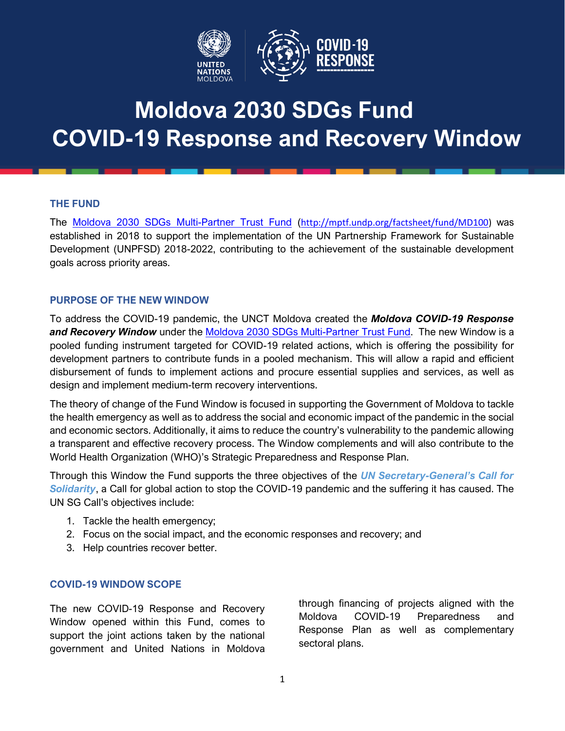

# **Moldova 2030 SDGs Fund COVID-19 Response and Recovery Window**

#### **THE FUND** *Leveraging partnerships and innovative*

The [Moldova 2030 SDGs](Moldova%202030%20SDGs%20Multi-Partner%20Trust%20Fund) Multi-Partner Trust Fund ([http://mptf.undp.org/factsheet/fund/MD100\)](http://mptf.undp.org/factsheet/fund/MD100) was Fine **Moldova 2000 SDGs Mulli-Partner Trust Pund** (Intp.//Inptr.undp.org/Tactsheet/Tund/MD100) was established in 2018 to support the implementation of the UN Partnership Framework for Sustainable Development (UNPFSD) 2018-2022, contributing to the achievement of the sustainable development goals across priority areas.

## **PURPOSE OF THE NEW WINDOW**

To address the COVID-19 pandemic, the UNCT Moldova created the *Moldova COVID-19 Response and Recovery Window* under the [Moldova 2030 SDGs](http://mptf.undp.org/factsheet/fund/MD100) Multi-Partner Trust Fund. The new Window is a pooled funding instrument targeted for COVID-19 related actions, which is offering the possibility for development partners to contribute funds in a pooled mechanism. This will allow a rapid and efficient disbursement of funds to implement actions and procure essential supplies and services, as well as design and implement medium-term recovery interventions.

The theory of change of the Fund Window is focused in supporting the Government of Moldova to tackle the health emergency as well as to address the social and economic impact of the pandemic in the social and economic sectors. Additionally, it aims to reduce the country's vulnerability to the pandemic allowing a transparent and effective recovery process. The Window complements and will also contribute to the World Health Organization (WHO)'s Strategic Preparedness and Response Plan.

Through this Window the Fund supports the three objectives of the *UN Secretary-[General's Call for](https://news.un.org/en/story/2020/03/1059752)  [Solidarity](https://news.un.org/en/story/2020/03/1059752)*, a Call for global action to stop the COVID-19 pandemic and the suffering it has caused. The UN SG Call's objectives include:

- 1. Tackle the health emergency;
- 2. Focus on the social impact, and the economic responses and recovery; and
- 3. Help countries recover better.

## **COVID-19 WINDOW SCOPE**

The new COVID-19 Response and Recovery Window opened within this Fund, comes to support the joint actions taken by the national government and United Nations in Moldova

through financing of projects aligned with the Moldova COVID-19 Preparedness and Response Plan as well as complementary sectoral plans.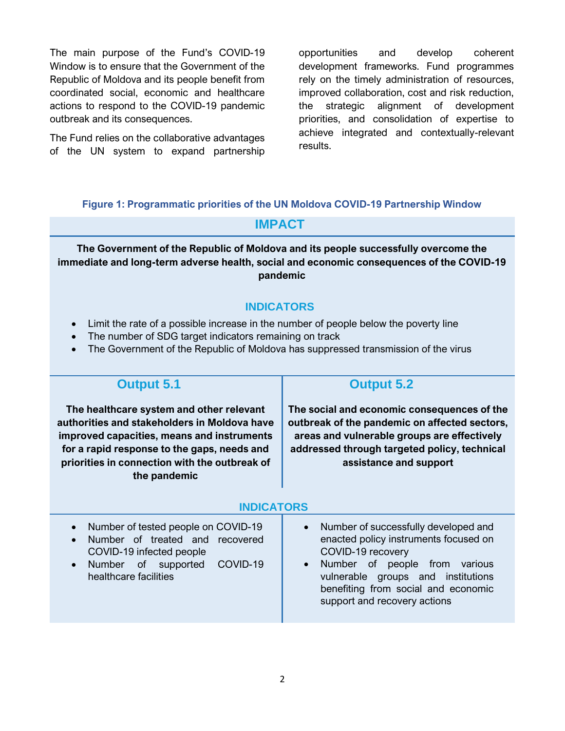The main purpose of the Fund's COVID-19 Window is to ensure that the Government of the Republic of Moldova and its people benefit from coordinated social, economic and healthcare actions to respond to the COVID-19 pandemic outbreak and its consequences.

The Fund relies on the collaborative advantages of the UN system to expand partnership opportunities and develop coherent development frameworks. Fund programmes rely on the timely administration of resources, improved collaboration, cost and risk reduction, the strategic alignment of development priorities, and consolidation of expertise to achieve integrated and contextually-relevant results.

## **Figure 1: Programmatic priorities of the UN Moldova COVID-19 Partnership Window**

# **IMPACT**

**The Government of the Republic of Moldova and its people successfully overcome the immediate and long-term adverse health, social and economic consequences of the COVID-19 pandemic**

## **INDICATORS**

- Limit the rate of a possible increase in the number of people below the poverty line
- The number of SDG target indicators remaining on track
- The Government of the Republic of Moldova has suppressed transmission of the virus

| <b>Output 5.1</b>                                                                                                                                                                                                                                      | <b>Output 5.2</b>                                                                                                                                                                                                                                   |
|--------------------------------------------------------------------------------------------------------------------------------------------------------------------------------------------------------------------------------------------------------|-----------------------------------------------------------------------------------------------------------------------------------------------------------------------------------------------------------------------------------------------------|
| The healthcare system and other relevant<br>authorities and stakeholders in Moldova have<br>improved capacities, means and instruments<br>for a rapid response to the gaps, needs and<br>priorities in connection with the outbreak of<br>the pandemic | The social and economic consequences of the<br>outbreak of the pandemic on affected sectors,<br>areas and vulnerable groups are effectively<br>addressed through targeted policy, technical<br>assistance and support                               |
| <b>INDICATORS</b>                                                                                                                                                                                                                                      |                                                                                                                                                                                                                                                     |
| Number of tested people on COVID-19<br>Number of treated and recovered<br>COVID-19 infected people<br>COVID-19<br>Number of supported<br>$\bullet$<br>healthcare facilities                                                                            | Number of successfully developed and<br>enacted policy instruments focused on<br>COVID-19 recovery<br>Number of people from<br>various<br>vulnerable groups and institutions<br>benefiting from social and economic<br>support and recovery actions |
|                                                                                                                                                                                                                                                        |                                                                                                                                                                                                                                                     |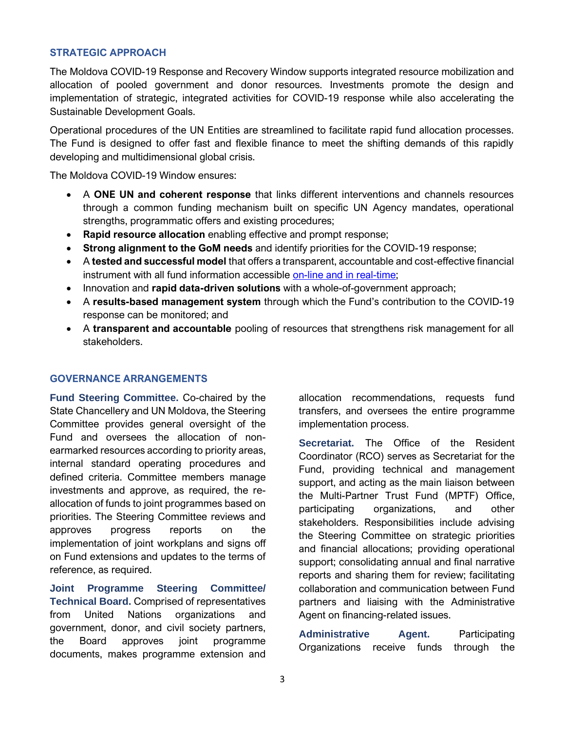#### **STRATEGIC APPROACH**

The Moldova COVID-19 Response and Recovery Window supports integrated resource mobilization and allocation of pooled government and donor resources. Investments promote the design and implementation of strategic, integrated activities for COVID-19 response while also accelerating the Sustainable Development Goals.

Operational procedures of the UN Entities are streamlined to facilitate rapid fund allocation processes. The Fund is designed to offer fast and flexible finance to meet the shifting demands of this rapidly developing and multidimensional global crisis.

The Moldova COVID-19 Window ensures:

- A **ONE UN and coherent response** that links different interventions and channels resources through a common funding mechanism built on specific UN Agency mandates, operational strengths, programmatic offers and existing procedures;
- **Rapid resource allocation** enabling effective and prompt response;
- **Strong alignment to the GoM needs** and identify priorities for the COVID-19 response;
- A **tested and successful model** that offers a transparent, accountable and cost-effective financial instrument with all fund information accessible [on-line and in real-time;](http://mptf.undp.org/factsheet/fund/MD100)
- Innovation and **rapid data-driven solutions** with a whole-of-government approach;
- A **results-based management system** through which the Fund's contribution to the COVID-19 response can be monitored; and
- A **transparent and accountable** pooling of resources that strengthens risk management for all stakeholders.

#### **GOVERNANCE ARRANGEMENTS**

**Fund Steering Committee.** Co-chaired by the State Chancellery and UN Moldova, the Steering Committee provides general oversight of the Fund and oversees the allocation of nonearmarked resources according to priority areas, internal standard operating procedures and defined criteria. Committee members manage investments and approve, as required, the reallocation of funds to joint programmes based on priorities. The Steering Committee reviews and approves progress reports on the implementation of joint workplans and signs off on Fund extensions and updates to the terms of reference, as required.

**Joint Programme Steering Committee/ Technical Board.** Comprised of representatives from United Nations organizations and government, donor, and civil society partners, the Board approves joint programme documents, makes programme extension and

allocation recommendations, requests fund transfers, and oversees the entire programme implementation process.

**Secretariat.** The Office of the Resident Coordinator (RCO) serves as Secretariat for the Fund, providing technical and management support, and acting as the main liaison between the Multi-Partner Trust Fund (MPTF) Office, participating organizations, and other stakeholders. Responsibilities include advising the Steering Committee on strategic priorities and financial allocations; providing operational support; consolidating annual and final narrative reports and sharing them for review; facilitating collaboration and communication between Fund partners and liaising with the Administrative Agent on financing-related issues.

**Administrative Agent.** Participating Organizations receive funds through the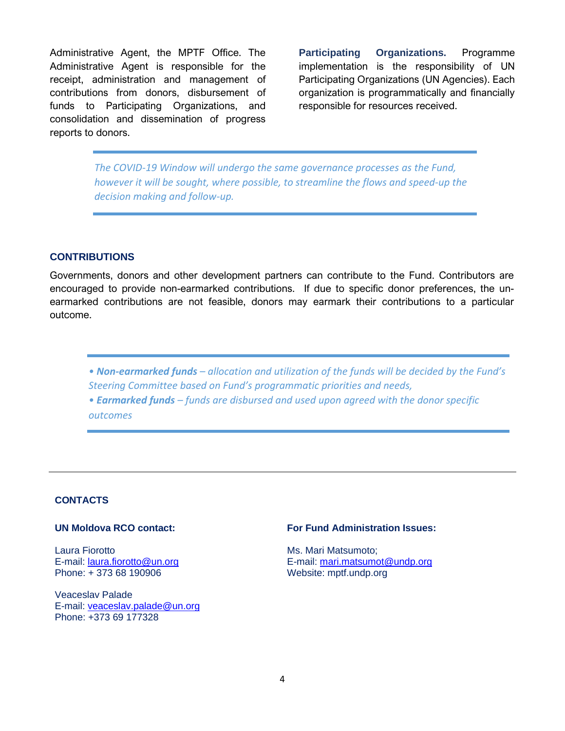Administrative Agent, the MPTF Office. The Administrative Agent is responsible for the receipt, administration and management of contributions from donors, disbursement of funds to Participating Organizations, and consolidation and dissemination of progress reports to donors.

**Participating Organizations.** Programme implementation is the responsibility of UN Participating Organizations (UN Agencies). Each organization is programmatically and financially responsible for resources received.

*The COVID-19 Window will undergo the same governance processes as the Fund, however it will be sought, where possible, to streamline the flows and speed-up the decision making and follow-up.*

#### **CONTRIBUTIONS**

Governments, donors and other development partners can contribute to the Fund. Contributors are encouraged to provide non-earmarked contributions. If due to specific donor preferences, the unearmarked contributions are not feasible, donors may earmark their contributions to a particular outcome.

*• Non-earmarked funds – allocation and utilization of the funds will be decided by the Fund's Steering Committee based on Fund's programmatic priorities and needs,*

*• Earmarked funds – funds are disbursed and used upon agreed with the donor specific outcomes*

#### **CONTACTS**

#### **UN Moldova RCO contact:**

Laura Fiorotto E-mail: [laura.fiorotto@un.org](mailto:laura.fiorotto@un.org) Phone: + 373 68 190906

Veaceslav Palade E-mail: [veaceslav.palade@un.org](mailto:veaceslav.palade@un.org) Phone: +373 69 177328

#### **For Fund Administration Issues:**

Ms. Mari Matsumoto; E-mail[: mari.matsumot@undp.org](mailto:mari.matsumot@undp.org) Website: mptf.undp.org